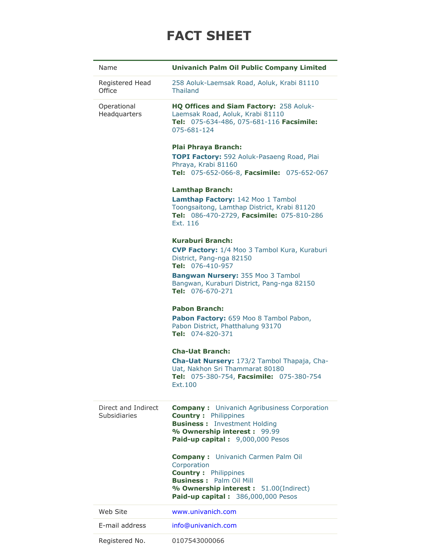## **FACT SHEET**

| Name                                | <b>Univanich Palm Oil Public Company Limited</b>                                                                                                                                                                                             |
|-------------------------------------|----------------------------------------------------------------------------------------------------------------------------------------------------------------------------------------------------------------------------------------------|
| Registered Head<br>Office           | 258 Aoluk-Laemsak Road, Aoluk, Krabi 81110<br><b>Thailand</b>                                                                                                                                                                                |
| Operational<br>Headquarters         | HQ Offices and Siam Factory: 258 Aoluk-<br>Laemsak Road, Aoluk, Krabi 81110<br>Tel: 075-634-486, 075-681-116 Facsimile:<br>075-681-124                                                                                                       |
|                                     | <b>Plai Phraya Branch:</b><br>TOPI Factory: 592 Aoluk-Pasaeng Road, Plai<br>Phraya, Krabi 81160<br>Tel: 075-652-066-8, Facsimile: 075-652-067                                                                                                |
|                                     | <b>Lamthap Branch:</b><br>Lamthap Factory: 142 Moo 1 Tambol<br>Toongsaitong, Lamthap District, Krabi 81120<br>Tel: 086-470-2729, Facsimile: 075-810-286<br>Fxt. 116                                                                          |
|                                     | <b>Kuraburi Branch:</b><br><b>CVP Factory:</b> 1/4 Moo 3 Tambol Kura, Kuraburi<br>District, Pang-nga 82150<br>Tel: 076-410-957<br><b>Bangwan Nursery: 355 Moo 3 Tambol</b><br>Bangwan, Kuraburi District, Pang-nga 82150<br>Tel: 076-670-271 |
|                                     | <b>Pabon Branch:</b><br>Pabon Factory: 659 Moo 8 Tambol Pabon,<br>Pabon District, Phatthalung 93170<br>Tel: 074-820-371                                                                                                                      |
|                                     | <b>Cha-Uat Branch:</b><br>Cha-Uat Nursery: 173/2 Tambol Thapaja, Cha-<br>Uat, Nakhon Sri Thammarat 80180<br>Tel: 075-380-754, Facsimile: 075-380-754<br>Ext.100                                                                              |
| Direct and Indirect<br>Subsidiaries | <b>Company:</b> Univanich Agribusiness Corporation<br><b>Country: Philippines</b><br><b>Business:</b> Investment Holding<br>% Ownership interest: 99.99<br>Paid-up capital: 9,000,000 Pesos                                                  |
|                                     | <b>Company:</b> Univanich Carmen Palm Oil<br>Corporation<br><b>Country: Philippines</b><br><b>Business: Palm Oil Mill</b><br>% Ownership interest: 51.00(Indirect)<br>Paid-up capital: 386,000,000 Pesos                                     |
| Web Site                            | www.univanich.com                                                                                                                                                                                                                            |
| E-mail address                      | info@univanich.com                                                                                                                                                                                                                           |
| Registered No.                      | 0107543000066                                                                                                                                                                                                                                |